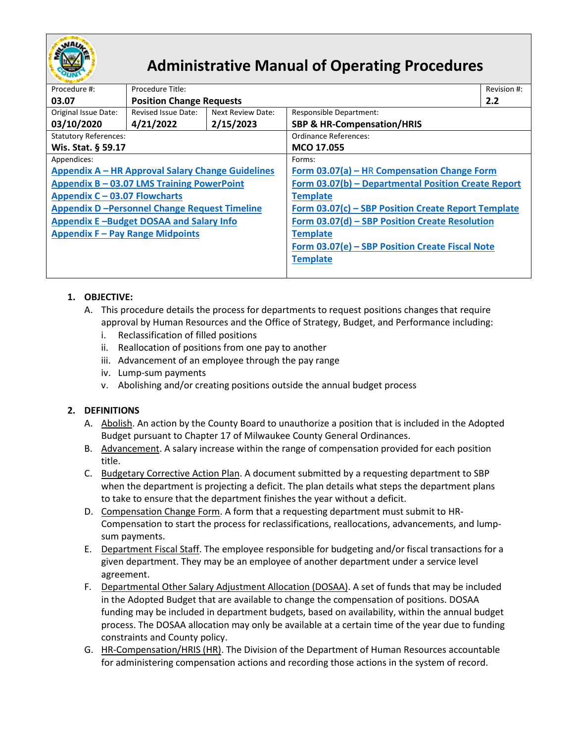

# **Administrative Manual of Operating Procedures**

| Procedure #:                                        | Procedure Title:                |                                                     |                                                     | Revision #: |  |
|-----------------------------------------------------|---------------------------------|-----------------------------------------------------|-----------------------------------------------------|-------------|--|
| 03.07                                               | <b>Position Change Requests</b> |                                                     |                                                     | 2.2         |  |
| Original Issue Date:                                | Revised Issue Date:             | Next Review Date:                                   | <b>Responsible Department:</b>                      |             |  |
| 03/10/2020                                          | 4/21/2022                       | 2/15/2023                                           | <b>SBP &amp; HR-Compensation/HRIS</b>               |             |  |
| <b>Statutory References:</b>                        |                                 | Ordinance References:                               |                                                     |             |  |
| Wis. Stat. § 59.17                                  |                                 | MCO 17.055                                          |                                                     |             |  |
| Appendices:                                         |                                 | Forms:                                              |                                                     |             |  |
| Appendix A - HR Approval Salary Change Guidelines   |                                 | Form 03.07(a) - HR Compensation Change Form         |                                                     |             |  |
| Appendix B - 03.07 LMS Training PowerPoint          |                                 | Form 03.07(b) - Departmental Position Create Report |                                                     |             |  |
| Appendix C - 03.07 Flowcharts                       |                                 |                                                     | <b>Template</b>                                     |             |  |
| <b>Appendix D-Personnel Change Request Timeline</b> |                                 |                                                     | Form 03.07(c) - SBP Position Create Report Template |             |  |
| Appendix E-Budget DOSAA and Salary Info             |                                 |                                                     | Form 03.07(d) - SBP Position Create Resolution      |             |  |
| <b>Appendix F - Pay Range Midpoints</b>             |                                 | <b>Template</b>                                     |                                                     |             |  |
|                                                     |                                 | Form 03.07(e) - SBP Position Create Fiscal Note     |                                                     |             |  |
|                                                     |                                 | <b>Template</b>                                     |                                                     |             |  |
|                                                     |                                 |                                                     |                                                     |             |  |
|                                                     |                                 |                                                     |                                                     |             |  |

## **1. OBJECTIVE:**

- A. This procedure details the process for departments to request positions changes that require approval by Human Resources and the Office of Strategy, Budget, and Performance including:
	- i. Reclassification of filled positions
	- ii. Reallocation of positions from one pay to another
	- iii. Advancement of an employee through the pay range
	- iv. Lump-sum payments
	- v. Abolishing and/or creating positions outside the annual budget process

# **2. DEFINITIONS**

- A. Abolish. An action by the County Board to unauthorize a position that is included in the Adopted Budget pursuant to Chapter 17 of Milwaukee County General Ordinances.
- B. Advancement. A salary increase within the range of compensation provided for each position title.
- C. Budgetary Corrective Action Plan. A document submitted by a requesting department to SBP when the department is projecting a deficit. The plan details what steps the department plans to take to ensure that the department finishes the year without a deficit.
- D. Compensation Change Form. A form that a requesting department must submit to HR-Compensation to start the process for reclassifications, reallocations, advancements, and lumpsum payments.
- E. Department Fiscal Staff. The employee responsible for budgeting and/or fiscal transactions for a given department. They may be an employee of another department under a service level agreement.
- F. Departmental Other Salary Adjustment Allocation (DOSAA). A set of funds that may be included in the Adopted Budget that are available to change the compensation of positions. DOSAA funding may be included in department budgets, based on availability, within the annual budget process. The DOSAA allocation may only be available at a certain time of the year due to funding constraints and County policy.
- G. HR-Compensation/HRIS (HR). The Division of the Department of Human Resources accountable for administering compensation actions and recording those actions in the system of record.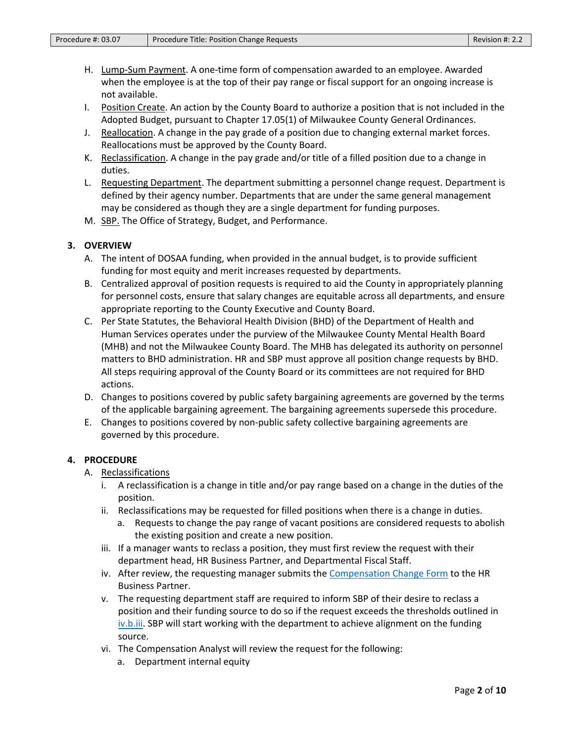- H. Lump-Sum Payment. A one-time form of compensation awarded to an employee. Awarded when the employee is at the top of their pay range or fiscal support for an ongoing increase is not available.
- I. Position Create. An action by the County Board to authorize a position that is not included in the Adopted Budget, pursuant to Chapter 17.05(1) of Milwaukee County General Ordinances.
- J. Reallocation. A change in the pay grade of a position due to changing external market forces. Reallocations must be approved by the County Board.
- K. Reclassification. A change in the pay grade and/or title of a filled position due to a change in duties.
- L. Requesting Department. The department submitting a personnel change request. Department is defined by their agency number. Departments that are under the same general management may be considered as though they are a single department for funding purposes.
- M. SBP. The Office of Strategy, Budget, and Performance.

## **3. OVERVIEW**

- A. The intent of DOSAA funding, when provided in the annual budget, is to provide sufficient funding for most equity and merit increases requested by departments.
- B. Centralized approval of position requests is required to aid the County in appropriately planning for personnel costs, ensure that salary changes are equitable across all departments, and ensure appropriate reporting to the County Executive and County Board.
- C. Per State Statutes, the Behavioral Health Division (BHD) of the Department of Health and Human Services operates under the purview of the Milwaukee County Mental Health Board (MHB) and not the Milwaukee County Board. The MHB has delegated its authority on personnel matters to BHD administration. HR and SBP must approve all position change requests by BHD. All steps requiring approval of the County Board or its committees are not required for BHD actions.
- D. Changes to positions covered by public safety bargaining agreements are governed by the terms of the applicable bargaining agreement. The bargaining agreements supersede this procedure.
- E. Changes to positions covered by non-public safety collective bargaining agreements are governed by this procedure.

#### **4. PROCEDURE**

- A. Reclassifications
	- i. A reclassification is a change in title and/or pay range based on a change in the duties of the position.
	- ii. Reclassifications may be requested for filled positions when there is a change in duties.
		- a. Requests to change the pay range of vacant positions are considered requests to abolish the existing position and create a new position.
	- iii. If a manager wants to reclass a position, they must first review the request with their department head, HR Business Partner, and Departmental Fiscal Staff.
	- iv. After review, the requesting manager submits th[e Compensation Change Form](https://county.milwaukee.gov/files/county/administrative-services/AMOP/Chapter-3-Budget--Financial-Transactions/Form03.07a-CompensationChangeForm.pdf) to the HR Business Partner.
	- v. The requesting department staff are required to inform SBP of their desire to reclass a position and their funding source to do so if the request exceeds the thresholds outlined in [iv.b.iii.](#page-7-0) SBP will start working with the department to achieve alignment on the funding source.
	- vi. The Compensation Analyst will review the request for the following:
		- a. Department internal equity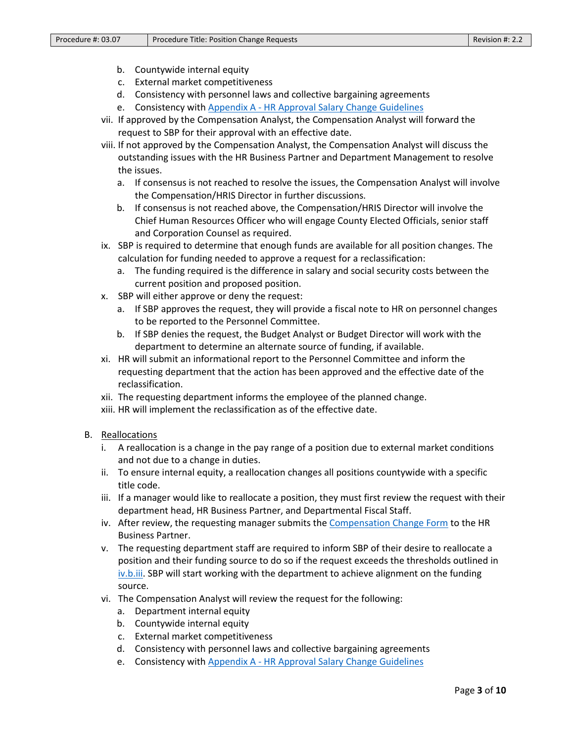- b. Countywide internal equity
- c. External market competitiveness
- d. Consistency with personnel laws and collective bargaining agreements
- e. Consistency with Appendix A [HR Approval Salary Change Guidelines](https://county.milwaukee.gov/files/county/administrative-services/AMOP/Chapter-3-Budget--Financial-Transactions/Appendix03.07a-HRSalaryChangeGuidelines.pdf)
- vii. If approved by the Compensation Analyst, the Compensation Analyst will forward the request to SBP for their approval with an effective date.
- viii. If not approved by the Compensation Analyst, the Compensation Analyst will discuss the outstanding issues with the HR Business Partner and Department Management to resolve the issues.
	- a. If consensus is not reached to resolve the issues, the Compensation Analyst will involve the Compensation/HRIS Director in further discussions.
	- b. If consensus is not reached above, the Compensation/HRIS Director will involve the Chief Human Resources Officer who will engage County Elected Officials, senior staff and Corporation Counsel as required.
- ix. SBP is required to determine that enough funds are available for all position changes. The calculation for funding needed to approve a request for a reclassification:
	- a. The funding required is the difference in salary and social security costs between the current position and proposed position.
- x. SBP will either approve or deny the request:
	- a. If SBP approves the request, they will provide a fiscal note to HR on personnel changes to be reported to the Personnel Committee.
	- b. If SBP denies the request, the Budget Analyst or Budget Director will work with the department to determine an alternate source of funding, if available.
- xi. HR will submit an informational report to the Personnel Committee and inform the requesting department that the action has been approved and the effective date of the reclassification.
- xii. The requesting department informs the employee of the planned change.
- xiii. HR will implement the reclassification as of the effective date.
- B. Reallocations
	- i. A reallocation is a change in the pay range of a position due to external market conditions and not due to a change in duties.
	- ii. To ensure internal equity, a reallocation changes all positions countywide with a specific title code.
	- iii. If a manager would like to reallocate a position, they must first review the request with their department head, HR Business Partner, and Departmental Fiscal Staff.
	- iv. After review, the requesting manager submits th[e Compensation Change Form](https://county.milwaukee.gov/files/county/administrative-services/AMOP/Chapter-3-Budget--Financial-Transactions/Form03.07a-CompensationChangeForm.pdf) to the HR Business Partner.
	- v. The requesting department staff are required to inform SBP of their desire to reallocate a position and their funding source to do so if the request exceeds the thresholds outlined in [iv.b.iii.](#page-7-0) SBP will start working with the department to achieve alignment on the funding source.
	- vi. The Compensation Analyst will review the request for the following:
		- a. Department internal equity
		- b. Countywide internal equity
		- c. External market competitiveness
		- d. Consistency with personnel laws and collective bargaining agreements
		- e. Consistency with Appendix A [HR Approval Salary Change Guidelines](https://county.milwaukee.gov/files/county/administrative-services/AMOP/Chapter-3-Budget--Financial-Transactions/Appendix03.07a-HRSalaryChangeGuidelines.pdf)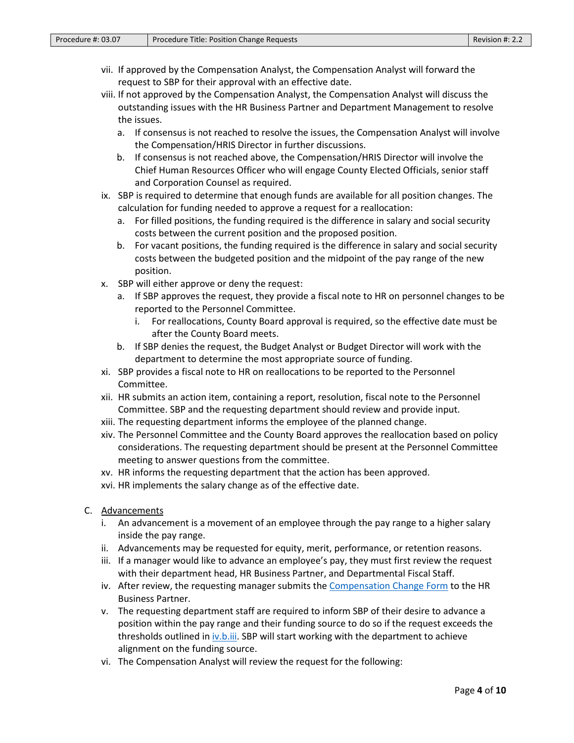- vii. If approved by the Compensation Analyst, the Compensation Analyst will forward the request to SBP for their approval with an effective date.
- viii. If not approved by the Compensation Analyst, the Compensation Analyst will discuss the outstanding issues with the HR Business Partner and Department Management to resolve the issues.
	- a. If consensus is not reached to resolve the issues, the Compensation Analyst will involve the Compensation/HRIS Director in further discussions.
	- b. If consensus is not reached above, the Compensation/HRIS Director will involve the Chief Human Resources Officer who will engage County Elected Officials, senior staff and Corporation Counsel as required.
- ix. SBP is required to determine that enough funds are available for all position changes. The calculation for funding needed to approve a request for a reallocation:
	- a. For filled positions, the funding required is the difference in salary and social security costs between the current position and the proposed position.
	- b. For vacant positions, the funding required is the difference in salary and social security costs between the budgeted position and the midpoint of the pay range of the new position.
- x. SBP will either approve or deny the request:
	- a. If SBP approves the request, they provide a fiscal note to HR on personnel changes to be reported to the Personnel Committee.
		- i. For reallocations, County Board approval is required, so the effective date must be after the County Board meets.
	- b. If SBP denies the request, the Budget Analyst or Budget Director will work with the department to determine the most appropriate source of funding.
- xi. SBP provides a fiscal note to HR on reallocations to be reported to the Personnel Committee.
- xii. HR submits an action item, containing a report, resolution, fiscal note to the Personnel Committee. SBP and the requesting department should review and provide input.
- xiii. The requesting department informs the employee of the planned change.
- xiv. The Personnel Committee and the County Board approves the reallocation based on policy considerations. The requesting department should be present at the Personnel Committee meeting to answer questions from the committee.
- xv. HR informs the requesting department that the action has been approved.
- xvi. HR implements the salary change as of the effective date.
- C. Advancements
	- i. An advancement is a movement of an employee through the pay range to a higher salary inside the pay range.
	- ii. Advancements may be requested for equity, merit, performance, or retention reasons.
	- iii. If a manager would like to advance an employee's pay, they must first review the request with their department head, HR Business Partner, and Departmental Fiscal Staff.
	- iv. After review, the requesting manager submits th[e Compensation Change Form](https://county.milwaukee.gov/files/county/administrative-services/AMOP/Chapter-3-Budget--Financial-Transactions/Form03.07a-CompensationChangeForm.pdf) to the HR Business Partner.
	- v. The requesting department staff are required to inform SBP of their desire to advance a position within the pay range and their funding source to do so if the request exceeds the thresholds outlined in *iv.b.iii.* SBP will start working with the department to achieve alignment on the funding source.
	- vi. The Compensation Analyst will review the request for the following: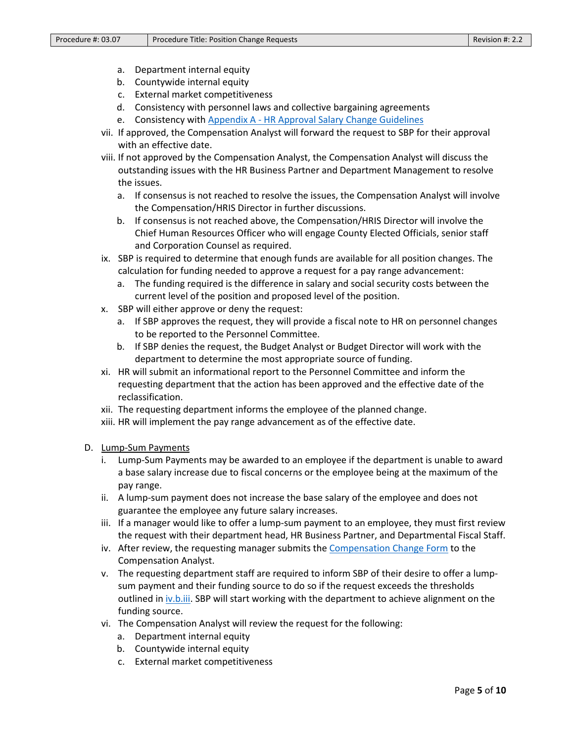- a. Department internal equity
- b. Countywide internal equity
- c. External market competitiveness
- d. Consistency with personnel laws and collective bargaining agreements
- e. Consistency with Appendix A HR [Approval Salary Change Guidelines](https://county.milwaukee.gov/files/county/administrative-services/AMOP/Chapter-3-Budget--Financial-Transactions/Appendix03.07a-HRSalaryChangeGuidelines.pdf)
- vii. If approved, the Compensation Analyst will forward the request to SBP for their approval with an effective date.
- viii. If not approved by the Compensation Analyst, the Compensation Analyst will discuss the outstanding issues with the HR Business Partner and Department Management to resolve the issues.
	- a. If consensus is not reached to resolve the issues, the Compensation Analyst will involve the Compensation/HRIS Director in further discussions.
	- b. If consensus is not reached above, the Compensation/HRIS Director will involve the Chief Human Resources Officer who will engage County Elected Officials, senior staff and Corporation Counsel as required.
- ix. SBP is required to determine that enough funds are available for all position changes. The calculation for funding needed to approve a request for a pay range advancement:
	- a. The funding required is the difference in salary and social security costs between the current level of the position and proposed level of the position.
- x. SBP will either approve or deny the request:
	- a. If SBP approves the request, they will provide a fiscal note to HR on personnel changes to be reported to the Personnel Committee.
	- b. If SBP denies the request, the Budget Analyst or Budget Director will work with the department to determine the most appropriate source of funding.
- xi. HR will submit an informational report to the Personnel Committee and inform the requesting department that the action has been approved and the effective date of the reclassification.
- xii. The requesting department informs the employee of the planned change.
- xiii. HR will implement the pay range advancement as of the effective date.
- D. Lump-Sum Payments
	- i. Lump-Sum Payments may be awarded to an employee if the department is unable to award a base salary increase due to fiscal concerns or the employee being at the maximum of the pay range.
	- ii. A lump-sum payment does not increase the base salary of the employee and does not guarantee the employee any future salary increases.
	- iii. If a manager would like to offer a lump-sum payment to an employee, they must first review the request with their department head, HR Business Partner, and Departmental Fiscal Staff.
	- iv. After review, the requesting manager submits th[e Compensation Change Form](https://county.milwaukee.gov/files/county/administrative-services/AMOP/Chapter-3-Budget--Financial-Transactions/Form03.07a-CompensationChangeForm.pdf) to the Compensation Analyst.
	- v. The requesting department staff are required to inform SBP of their desire to offer a lumpsum payment and their funding source to do so if the request exceeds the thresholds outlined in *[iv.b.iii.](#page-7-0)* SBP will start working with the department to achieve alignment on the funding source.
	- vi. The Compensation Analyst will review the request for the following:
		- a. Department internal equity
		- b. Countywide internal equity
		- c. External market competitiveness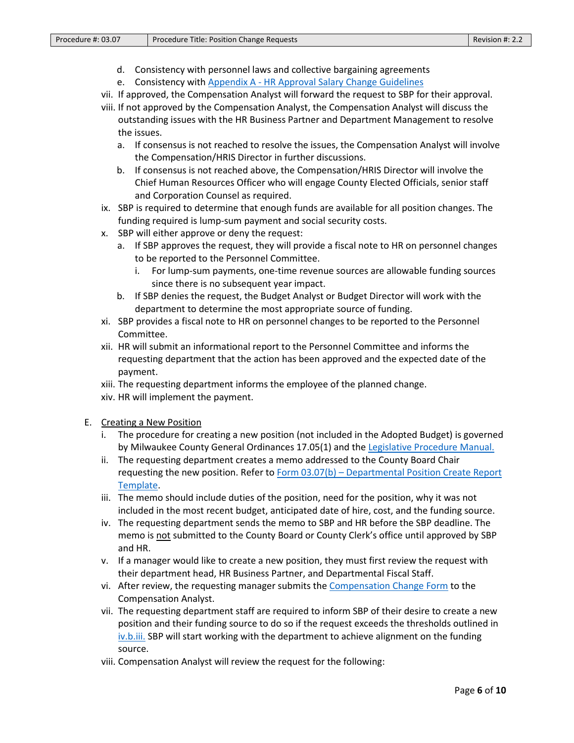- d. Consistency with personnel laws and collective bargaining agreements
- e. Consistency with Appendix A [HR Approval Salary Change Guidelines](https://county.milwaukee.gov/files/county/administrative-services/AMOP/Chapter-3-Budget--Financial-Transactions/Appendix03.07a-HRSalaryChangeGuidelines.pdf)
- vii. If approved, the Compensation Analyst will forward the request to SBP for their approval.
- viii. If not approved by the Compensation Analyst, the Compensation Analyst will discuss the outstanding issues with the HR Business Partner and Department Management to resolve the issues.
	- a. If consensus is not reached to resolve the issues, the Compensation Analyst will involve the Compensation/HRIS Director in further discussions.
	- b. If consensus is not reached above, the Compensation/HRIS Director will involve the Chief Human Resources Officer who will engage County Elected Officials, senior staff and Corporation Counsel as required.
- ix. SBP is required to determine that enough funds are available for all position changes. The funding required is lump-sum payment and social security costs.
- x. SBP will either approve or deny the request:
	- a. If SBP approves the request, they will provide a fiscal note to HR on personnel changes to be reported to the Personnel Committee.
		- i. For lump-sum payments, one-time revenue sources are allowable funding sources since there is no subsequent year impact.
	- b. If SBP denies the request, the Budget Analyst or Budget Director will work with the department to determine the most appropriate source of funding.
- xi. SBP provides a fiscal note to HR on personnel changes to be reported to the Personnel Committee.
- xii. HR will submit an informational report to the Personnel Committee and informs the requesting department that the action has been approved and the expected date of the payment.
- xiii. The requesting department informs the employee of the planned change.
- xiv. HR will implement the payment.
- E. Creating a New Position
	- i. The procedure for creating a new position (not included in the Adopted Budget) is governed by Milwaukee County General Ordinances 17.05(1) and the [Legislative Procedure Manual.](https://county.milwaukee.gov/files/county/administrative-services/AMOP/Chapter-12-Department-of-Administrative-Services-DAS/Appendix12.02ELegislativeProcedureManual.pdf)
	- ii. The requesting department creates a memo addressed to the County Board Chair requesting the new position. Refer to Form 03.07(b) – [Departmental Position Create Report](https://county.milwaukee.gov/files/county/administrative-services/AMOP/Chapter-3-Budget--Financial-Transactions/Form03.07b-DepartmentPositionCreateRequestTemplate.docx)  [Template.](https://county.milwaukee.gov/files/county/administrative-services/AMOP/Chapter-3-Budget--Financial-Transactions/Form03.07b-DepartmentPositionCreateRequestTemplate.docx)
	- iii. The memo should include duties of the position, need for the position, why it was not included in the most recent budget, anticipated date of hire, cost, and the funding source.
	- iv. The requesting department sends the memo to SBP and HR before the SBP deadline. The memo is not submitted to the County Board or County Clerk's office until approved by SBP and HR.
	- v. If a manager would like to create a new position, they must first review the request with their department head, HR Business Partner, and Departmental Fiscal Staff.
	- vi. After review, the requesting manager submits th[e Compensation Change Form](https://county.milwaukee.gov/files/county/administrative-services/AMOP/Chapter-3-Budget--Financial-Transactions/Form03.07a-CompensationChangeForm.pdf) to the Compensation Analyst.
	- vii. The requesting department staff are required to inform SBP of their desire to create a new position and their funding source to do so if the request exceeds the thresholds outlined in [iv.b.iii.](#page-7-0) SBP will start working with the department to achieve alignment on the funding source.
	- viii. Compensation Analyst will review the request for the following: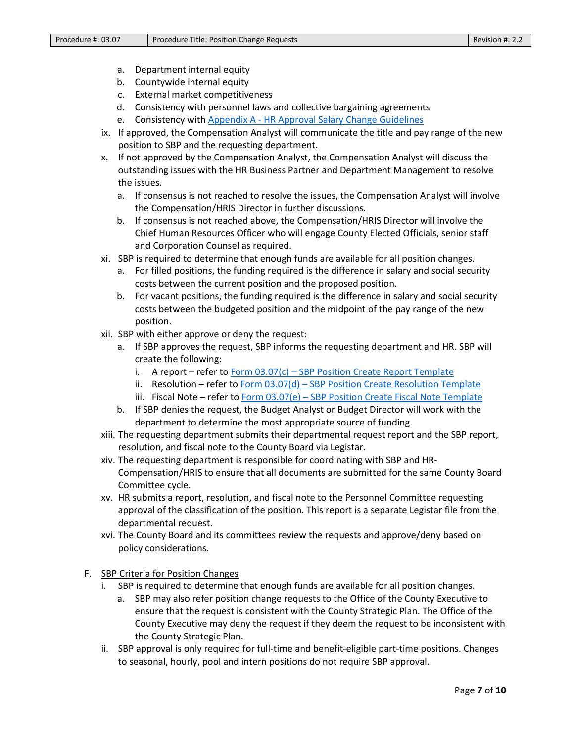- a. Department internal equity
- b. Countywide internal equity
- c. External market competitiveness
- d. Consistency with personnel laws and collective bargaining agreements
- e. Consistency with Appendix A [HR Approval Salary Change Guidelines](https://county.milwaukee.gov/files/county/administrative-services/AMOP/Chapter-3-Budget--Financial-Transactions/Appendix03.07a-HRSalaryChangeGuidelines.pdf)
- ix. If approved, the Compensation Analyst will communicate the title and pay range of the new position to SBP and the requesting department.
- x. If not approved by the Compensation Analyst, the Compensation Analyst will discuss the outstanding issues with the HR Business Partner and Department Management to resolve the issues.
	- a. If consensus is not reached to resolve the issues, the Compensation Analyst will involve the Compensation/HRIS Director in further discussions.
	- b. If consensus is not reached above, the Compensation/HRIS Director will involve the Chief Human Resources Officer who will engage County Elected Officials, senior staff and Corporation Counsel as required.
- xi. SBP is required to determine that enough funds are available for all position changes.
	- a. For filled positions, the funding required is the difference in salary and social security costs between the current position and the proposed position.
	- b. For vacant positions, the funding required is the difference in salary and social security costs between the budgeted position and the midpoint of the pay range of the new position.
- xii. SBP with either approve or deny the request:
	- a. If SBP approves the request, SBP informs the requesting department and HR. SBP will create the following:
		- i. A report refer to  $Form 03.07(c)$  SBP [Position Create Report Template](https://county.milwaukee.gov/files/county/administrative-services/AMOP/Chapter-3-Budget--Financial-Transactions/Form03.07c-PSBPositionCreateReportTemplate.docx)
		- ii. Resolution refer to Form  $03.07(d)$  SBP [Position Create Resolution Template](file://FI01WPCHC/Fiscal$/Data/Budget/DOCBDGT/AMOPs/DRAFTS/Position%20Change/Form%2003.07(d)-PSB%20Position%20Create%20Resolution%20Template)
		- iii. Fiscal Note refer to Form 03.07(e) SBP [Position Create Fiscal Note Template](https://county.milwaukee.gov/files/county/administrative-services/AMOP/Chapter-3-Budget--Financial-Transactions/Form03.07e-PSBPositionCreateFiscalNoteTemplate.docx)
	- b. If SBP denies the request, the Budget Analyst or Budget Director will work with the department to determine the most appropriate source of funding.
- xiii. The requesting department submits their departmental request report and the SBP report, resolution, and fiscal note to the County Board via Legistar.
- xiv. The requesting department is responsible for coordinating with SBP and HR-Compensation/HRIS to ensure that all documents are submitted for the same County Board Committee cycle.
- xv. HR submits a report, resolution, and fiscal note to the Personnel Committee requesting approval of the classification of the position. This report is a separate Legistar file from the departmental request.
- xvi. The County Board and its committees review the requests and approve/deny based on policy considerations.
- F. SBP Criteria for Position Changes
	- i. SBP is required to determine that enough funds are available for all position changes.
		- a. SBP may also refer position change requests to the Office of the County Executive to ensure that the request is consistent with the County Strategic Plan. The Office of the County Executive may deny the request if they deem the request to be inconsistent with the County Strategic Plan.
	- ii. SBP approval is only required for full-time and benefit-eligible part-time positions. Changes to seasonal, hourly, pool and intern positions do not require SBP approval.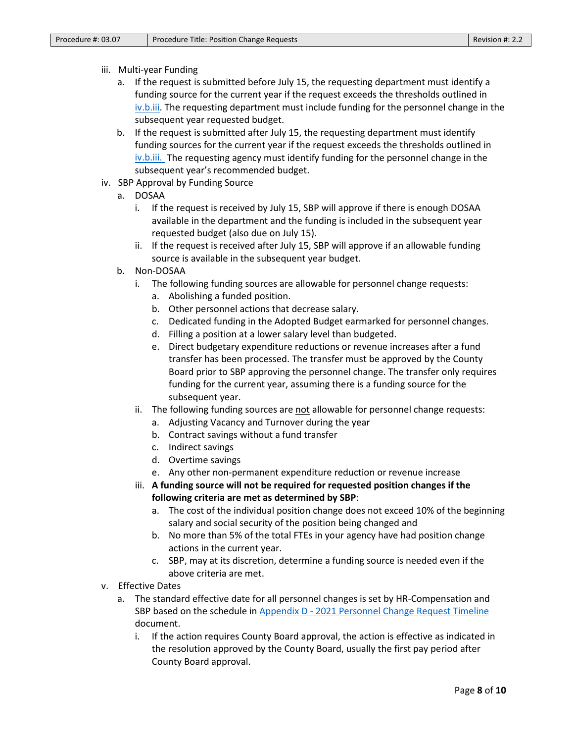#### iii. Multi-year Funding

- a. If the request is submitted before July 15, the requesting department must identify a funding source for the current year if the request exceeds the thresholds outlined in [iv.b.iii.](#page-7-0) The requesting department must include funding for the personnel change in the subsequent year requested budget.
- b. If the request is submitted after July 15, the requesting department must identify funding sources for the current year if the request exceeds the thresholds outlined in [iv.b.iii.](#page-7-0) The requesting agency must identify funding for the personnel change in the subsequent year's recommended budget.
- iv. SBP Approval by Funding Source
	- a. DOSAA
		- i. If the request is received by July 15, SBP will approve if there is enough DOSAA available in the department and the funding is included in the subsequent year requested budget (also due on July 15).
		- ii. If the request is received after July 15, SBP will approve if an allowable funding source is available in the subsequent year budget.
	- b. Non-DOSAA
		- i. The following funding sources are allowable for personnel change requests:
			- a. Abolishing a funded position.
			- b. Other personnel actions that decrease salary.
			- c. Dedicated funding in the Adopted Budget earmarked for personnel changes.
			- d. Filling a position at a lower salary level than budgeted.
			- e. Direct budgetary expenditure reductions or revenue increases after a fund transfer has been processed. The transfer must be approved by the County Board prior to SBP approving the personnel change. The transfer only requires funding for the current year, assuming there is a funding source for the subsequent year.
		- ii. The following funding sources are not allowable for personnel change requests:
			- a. Adjusting Vacancy and Turnover during the year
			- b. Contract savings without a fund transfer
			- c. Indirect savings
			- d. Overtime savings
			- e. Any other non-permanent expenditure reduction or revenue increase
		- iii. **A funding source will not be required for requested position changes if the following criteria are met as determined by SBP**:
			- a. The cost of the individual position change does not exceed 10% of the beginning salary and social security of the position being changed and
			- b. No more than 5% of the total FTEs in your agency have had position change actions in the current year.
			- c. SBP, may at its discretion, determine a funding source is needed even if the above criteria are met.
- <span id="page-7-0"></span>v. Effective Dates
	- a. The standard effective date for all personnel changes is set by HR-Compensation and SBP based on the schedule in Appendix D - 2021 [Personnel Change Request Timeline](https://county.milwaukee.gov/files/county/administrative-services/AMOP/Chapter-3-Budget--Financial-Transactions/Appendix03.07d-2020PersonnelChangeRequestTimeline.pdf) document.
		- i. If the action requires County Board approval, the action is effective as indicated in the resolution approved by the County Board, usually the first pay period after County Board approval.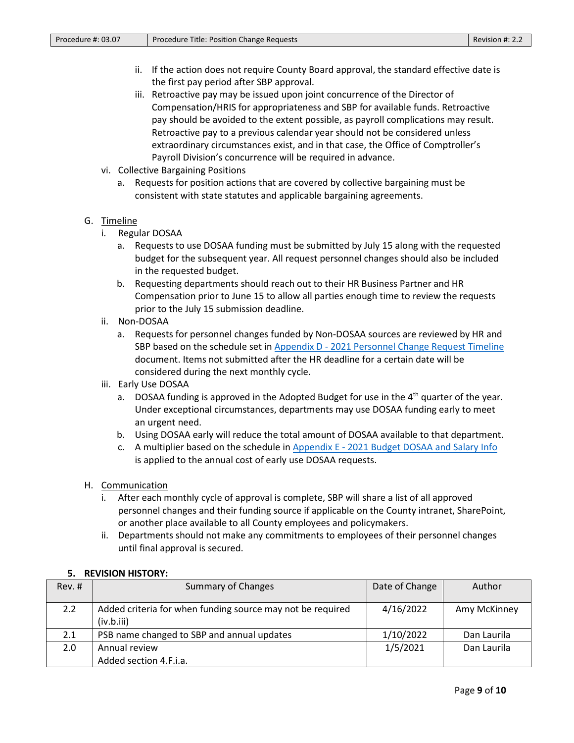- ii. If the action does not require County Board approval, the standard effective date is the first pay period after SBP approval.
- iii. Retroactive pay may be issued upon joint concurrence of the Director of Compensation/HRIS for appropriateness and SBP for available funds. Retroactive pay should be avoided to the extent possible, as payroll complications may result. Retroactive pay to a previous calendar year should not be considered unless extraordinary circumstances exist, and in that case, the Office of Comptroller's Payroll Division's concurrence will be required in advance.
- vi. Collective Bargaining Positions
	- a. Requests for position actions that are covered by collective bargaining must be consistent with state statutes and applicable bargaining agreements.

## G. Timeline

- i. Regular DOSAA
	- a. Requests to use DOSAA funding must be submitted by July 15 along with the requested budget for the subsequent year. All request personnel changes should also be included in the requested budget.
	- b. Requesting departments should reach out to their HR Business Partner and HR Compensation prior to June 15 to allow all parties enough time to review the requests prior to the July 15 submission deadline.
- ii. Non-DOSAA
	- a. Requests for personnel changes funded by Non-DOSAA sources are reviewed by HR and SBP based on the schedule set in Appendix D - 2021 [Personnel Change Request Timeline](https://county.milwaukee.gov/files/county/administrative-services/AMOP/Chapter-3-Budget--Financial-Transactions/Appendix03.07d-2020PersonnelChangeRequestTimeline.pdf) document. Items not submitted after the HR deadline for a certain date will be considered during the next monthly cycle.
- iii. Early Use DOSAA
	- a. DOSAA funding is approved in the Adopted Budget for use in the  $4<sup>th</sup>$  quarter of the year. Under exceptional circumstances, departments may use DOSAA funding early to meet an urgent need.
	- b. Using DOSAA early will reduce the total amount of DOSAA available to that department.
	- c. A multiplier based on the schedule in Appendix E 2021 [Budget DOSAA and Salary Info](https://county.milwaukee.gov/files/county/administrative-services/AMOP/Chapter-3-Budget--Financial-Transactions/Appendix03.07e-2020BudgetDOSAA.pdf) is applied to the annual cost of early use DOSAA requests.
- H. Communication
	- i. After each monthly cycle of approval is complete, SBP will share a list of all approved personnel changes and their funding source if applicable on the County intranet, SharePoint, or another place available to all County employees and policymakers.
	- ii. Departments should not make any commitments to employees of their personnel changes until final approval is secured.

#### **5. REVISION HISTORY:**

| Rev. #        | <b>Summary of Changes</b>                                                | Date of Change | Author       |
|---------------|--------------------------------------------------------------------------|----------------|--------------|
| $2.2^{\circ}$ | Added criteria for when funding source may not be required<br>(iv.b.iii) | 4/16/2022      | Amy McKinney |
| 2.1           | PSB name changed to SBP and annual updates                               | 1/10/2022      | Dan Laurila  |
| $2.0^{\circ}$ | Annual review                                                            | 1/5/2021       | Dan Laurila  |
|               | Added section 4.F.i.a.                                                   |                |              |